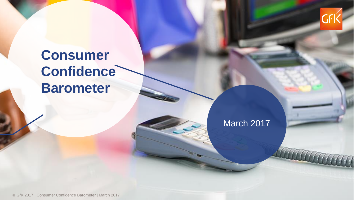

## **Consumer Confidence Barometer**

## March 2017

© GfK 2017 | Consumer Confidence Barometer | March 2017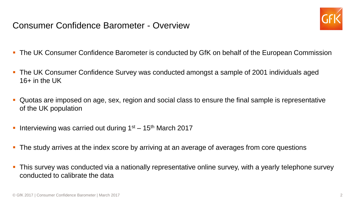Consumer Confidence Barometer - Overview



- The UK Consumer Confidence Barometer is conducted by GfK on behalf of the European Commission
- The UK Consumer Confidence Survey was conducted amongst a sample of 2001 individuals aged  $16+$  in the UK
- Quotas are imposed on age, sex, region and social class to ensure the final sample is representative of the UK population
- Interviewing was carried out during  $1<sup>st</sup> 15<sup>th</sup>$  March 2017
- **The study arrives at the index score by arriving at an average of averages from core questions**
- This survey was conducted via a nationally representative online survey, with a yearly telephone survey conducted to calibrate the data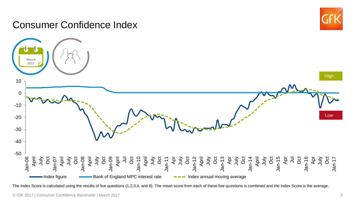## Consumer Confidence Index





The Index Score is calculated using the results of five questions (1,2,3,4, and 8). The mean score from each of these five questions is combined and the Index Score is the average.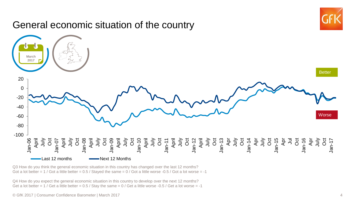

Q3 How do you think the general economic situation in this country has changed over the last 12 months? Got a lot better =  $1$  / Got a little better =  $0.5$  / Stayed the same =  $0$  / Got a little worse -0.5 / Got a lot worse = -1

Q4 How do you expect the general economic situation in this country to develop over the next 12 months? Get a lot better =  $1$  / Get a little better = 0.5 / Stay the same =  $0$  / Get a little worse -0.5 / Get a lot worse = -1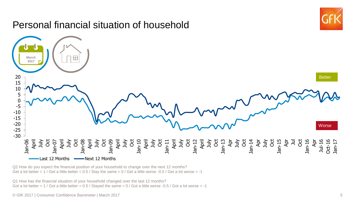

Q2 How do you expect the financial position of your household to change over the next 12 months? Get a lot better =  $1$  / Get a little better = 0.5 / Stay the same =  $0$  / Get a little worse -0.5 / Get a lot worse = -1

Q1 How has the financial situation of your household changed over the last 12 months? Got a lot better =  $1 /$  Got a little better = 0.5 / Stayed the same = 0 / Got a little worse -0.5 / Got a lot worse = -1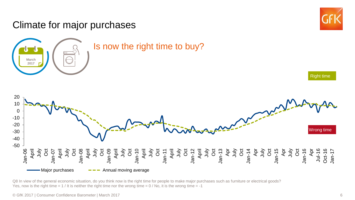

**March 2017**



Right time

Is now the right time to buy?



Q8 In view of the general economic situation, do you think now is the right time for people to make major purchases such as furniture or electrical goods? Yes, now is the right time  $= 1$  / It is neither the right time nor the wrong time  $= 0$  / No, it is the wrong time  $= -1$ 

© GfK 2017 | Consumer Confidence Barometer | March 2017 6